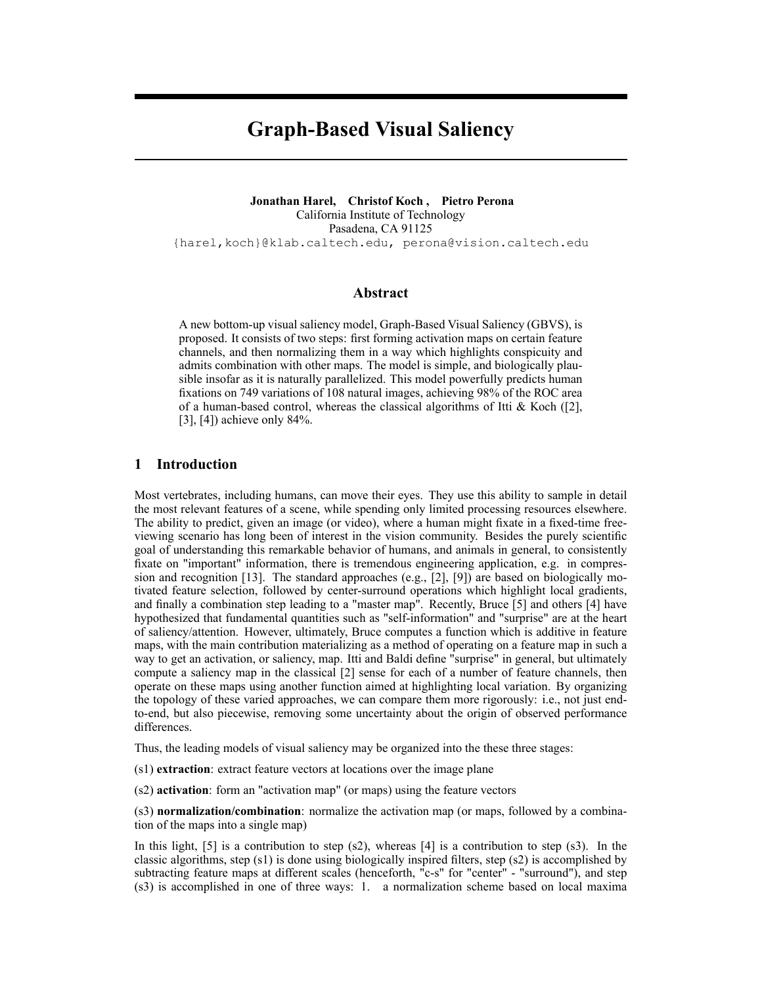# Graph-Based Visual Saliency

Jonathan Harel, Christof Koch , Pietro Perona California Institute of Technology Pasadena, CA 91125 {harel,koch}@klab.caltech.edu, perona@vision.caltech.edu

# Abstract

A new bottom-up visual saliency model, Graph-Based Visual Saliency (GBVS), is proposed. It consists of two steps: first forming activation maps on certain feature channels, and then normalizing them in a way which highlights conspicuity and admits combination with other maps. The model is simple, and biologically plausible insofar as it is naturally parallelized. This model powerfully predicts human fixations on 749 variations of 108 natural images, achieving 98% of the ROC area of a human-based control, whereas the classical algorithms of Itti  $\&$  Koch ([2], [3], [4]) achieve only 84%.

# 1 Introduction

Most vertebrates, including humans, can move their eyes. They use this ability to sample in detail the most relevant features of a scene, while spending only limited processing resources elsewhere. The ability to predict, given an image (or video), where a human might fixate in a fixed-time freeviewing scenario has long been of interest in the vision community. Besides the purely scientific goal of understanding this remarkable behavior of humans, and animals in general, to consistently fixate on "important" information, there is tremendous engineering application, e.g. in compression and recognition [13]. The standard approaches  $(e.g., [2], [9])$  are based on biologically motivated feature selection, followed by center-surround operations which highlight local gradients, and finally a combination step leading to a "master map". Recently, Bruce  $[5]$  and others  $[4]$  have hypothesized that fundamental quantities such as "self-information" and "surprise" are at the heart of saliency/attention. However, ultimately, Bruce computes a function which is additive in feature maps, with the main contribution materializing as a method of operating on a feature map in such a way to get an activation, or saliency, map. Itti and Baldi define "surprise" in general, but ultimately compute a saliency map in the classical [2] sense for each of a number of feature channels, then operate on these maps using another function aimed at highlighting local variation. By organizing the topology of these varied approaches, we can compare them more rigorously: i.e., not just endto-end, but also piecewise, removing some uncertainty about the origin of observed performance differences.

Thus, the leading models of visual saliency may be organized into the these three stages:

(s1) extraction: extract feature vectors at locations over the image plane

(s2) activation: form an "activation map" (or maps) using the feature vectors

(s3) normalization/combination: normalize the activation map (or maps, followed by a combination of the maps into a single map)

In this light, [5] is a contribution to step (s2), whereas [4] is a contribution to step (s3). In the classic algorithms, step  $(s1)$  is done using biologically inspired filters, step  $(s2)$  is accomplished by subtracting feature maps at different scales (henceforth, "c-s" for "center" - "surround"), and step (s3) is accomplished in one of three ways: 1. a normalization scheme based on local maxima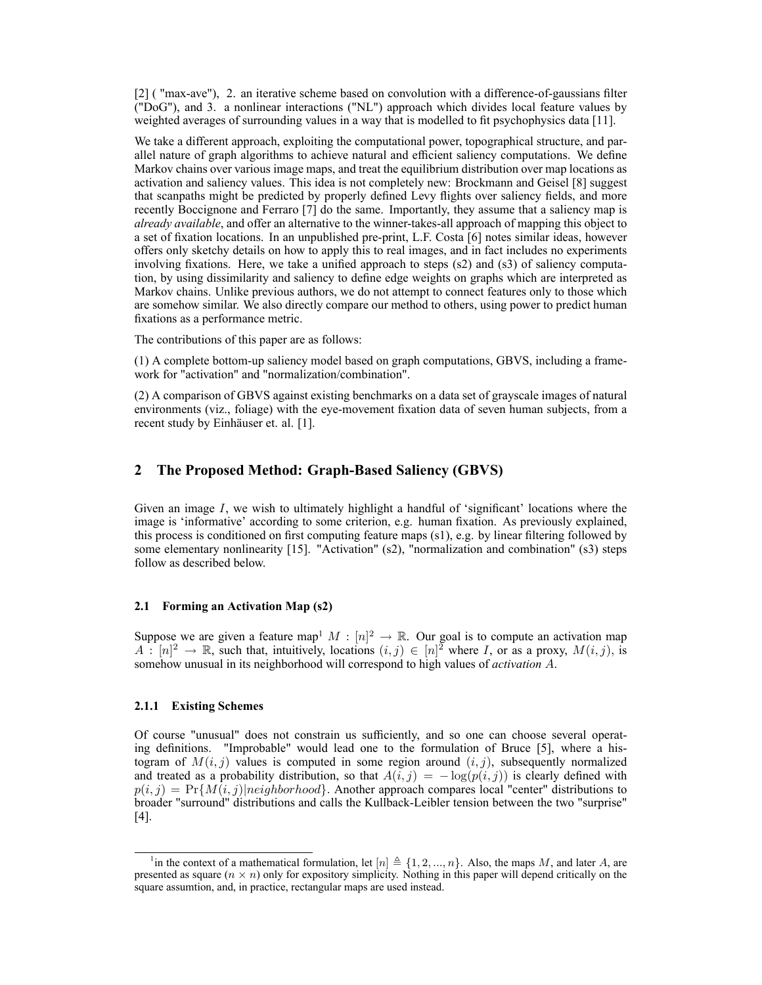[2] ( "max-ave"), 2. an iterative scheme based on convolution with a difference-of-gaussians filter ("DoG"), and 3. a nonlinear interactions ("NL") approach which divides local feature values by weighted averages of surrounding values in a way that is modelled to fit psychophysics data [11].

We take a different approach, exploiting the computational power, topographical structure, and parallel nature of graph algorithms to achieve natural and efficient saliency computations. We define Markov chains over various image maps, and treat the equilibrium distribution over map locations as activation and saliency values. This idea is not completely new: Brockmann and Geisel [8] suggest that scanpaths might be predicted by properly defined Levy flights over saliency fields, and more recently Boccignone and Ferraro [7] do the same. Importantly, they assume that a saliency map is already available, and offer an alternative to the winner-takes-all approach of mapping this object to a set of fixation locations. In an unpublished pre-print, L.F. Costa [6] notes similar ideas, however offers only sketchy details on how to apply this to real images, and in fact includes no experiments involving fixations. Here, we take a unified approach to steps  $(s2)$  and  $(s3)$  of saliency computation, by using dissimilarity and saliency to define edge weights on graphs which are interpreted as Markov chains. Unlike previous authors, we do not attempt to connect features only to those which are somehow similar. We also directly compare our method to others, using power to predict human fixations as a performance metric.

The contributions of this paper are as follows:

(1) A complete bottom-up saliency model based on graph computations, GBVS, including a framework for "activation" and "normalization/combination".

(2) A comparison of GBVS against existing benchmarks on a data set of grayscale images of natural environments (viz., foliage) with the eye-movement fixation data of seven human subjects, from a recent study by Einhäuser et. al. [1].

# 2 The Proposed Method: Graph-Based Saliency (GBVS)

Given an image  $I$ , we wish to ultimately highlight a handful of 'significant' locations where the image is 'informative' according to some criterion, e.g. human fixation. As previously explained, this process is conditioned on first computing feature maps (s1), e.g. by linear filtering followed by some elementary nonlinearity [15]. "Activation" (s2), "normalization and combination" (s3) steps follow as described below.

#### 2.1 Forming an Activation Map (s2)

Suppose we are given a feature map<sup>1</sup>  $M : [n]^2 \rightarrow \mathbb{R}$ . Our goal is to compute an activation map  $A : [n]^2 \to \mathbb{R}$ , such that, intuitively, locations  $(i, j) \in [n]^2$  where I, or as a proxy,  $M(i, j)$ , is somehow unusual in its neighborhood will correspond to high values of *activation A*.

#### 2.1.1 Existing Schemes

Of course "unusual" does not constrain us sufficiently, and so one can choose several operating definitions. "Improbable" would lead one to the formulation of Bruce [5], where a histogram of  $M(i, j)$  values is computed in some region around  $(i, j)$ , subsequently normalized and treated as a probability distribution, so that  $A(i, j) = -\log(p(i, j))$  is clearly defined with  $p(i, j) = Pr{M(i, j)|neighborhood}$ . Another approach compares local "center" distributions to broader "surround" distributions and calls the Kullback-Leibler tension between the two "surprise" [4].

<sup>&</sup>lt;sup>1</sup> in the context of a mathematical formulation, let  $[n] \triangleq \{1, 2, ..., n\}$ . Also, the maps M, and later A, are presented as square  $(n \times n)$  only for expository simplicity. Nothing in this paper will depend critically on the square assumtion, and, in practice, rectangular maps are used instead.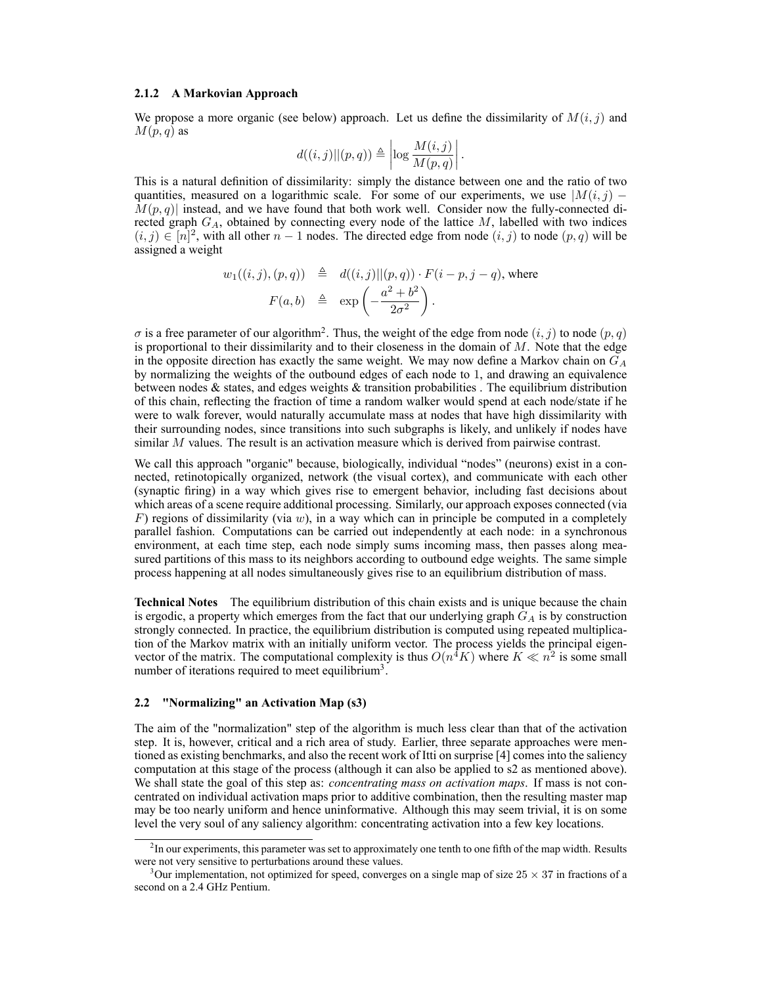#### 2.1.2 A Markovian Approach

We propose a more organic (see below) approach. Let us define the dissimilarity of  $M(i, j)$  and  $M(p, q)$  as

$$
d((i, j) || (p, q)) \triangleq \left| \log \frac{M(i, j)}{M(p, q)} \right|.
$$

This is a natural definition of dissimilarity: simply the distance between one and the ratio of two quantities, measured on a logarithmic scale. For some of our experiments, we use  $|M(i, j) M(p, q)$  instead, and we have found that both work well. Consider now the fully-connected directed graph  $G_A$ , obtained by connecting every node of the lattice M, labelled with two indices  $(i, j) \in [n]^2$ , with all other  $n - 1$  nodes. The directed edge from node  $(i, j)$  to node  $(p, q)$  will be assigned a weight

$$
w_1((i,j),(p,q)) \triangleq d((i,j)||(p,q)) \cdot F(i-p,j-q), \text{ where}
$$

$$
F(a,b) \triangleq \exp\left(-\frac{a^2+b^2}{2\sigma^2}\right).
$$

 $\sigma$  is a free parameter of our algorithm<sup>2</sup>. Thus, the weight of the edge from node  $(i, j)$  to node  $(p, q)$ is proportional to their dissimilarity and to their closeness in the domain of  $M$ . Note that the edge in the opposite direction has exactly the same weight. We may now define a Markov chain on  $G_A$ by normalizing the weights of the outbound edges of each node to 1, and drawing an equivalence between nodes  $\&$  states, and edges weights  $\&$  transition probabilities. The equilibrium distribution of this chain, reflecting the fraction of time a random walker would spend at each node/state if he were to walk forever, would naturally accumulate mass at nodes that have high dissimilarity with their surrounding nodes, since transitions into such subgraphs is likely, and unlikely if nodes have similar M values. The result is an activation measure which is derived from pairwise contrast.

We call this approach "organic" because, biologically, individual "nodes" (neurons) exist in a connected, retinotopically organized, network (the visual cortex), and communicate with each other (synaptic firing) in a way which gives rise to emergent behavior, including fast decisions about which areas of a scene require additional processing. Similarly, our approach exposes connected (via F) regions of dissimilarity (via  $w$ ), in a way which can in principle be computed in a completely parallel fashion. Computations can be carried out independently at each node: in a synchronous environment, at each time step, each node simply sums incoming mass, then passes along measured partitions of this mass to its neighbors according to outbound edge weights. The same simple process happening at all nodes simultaneously gives rise to an equilibrium distribution of mass.

Technical Notes The equilibrium distribution of this chain exists and is unique because the chain is ergodic, a property which emerges from the fact that our underlying graph  $G_A$  is by construction strongly connected. In practice, the equilibrium distribution is computed using repeated multiplication of the Markov matrix with an initially uniform vector. The process yields the principal eigenvector of the matrix. The computational complexity is thus  $O(n^4K)$  where  $K \ll n^2$  is some small number of iterations required to meet equilibrium<sup>3</sup>.

#### 2.2 "Normalizing" an Activation Map (s3)

The aim of the "normalization" step of the algorithm is much less clear than that of the activation step. It is, however, critical and a rich area of study. Earlier, three separate approaches were mentioned as existing benchmarks, and also the recent work of Itti on surprise [4] comes into the saliency computation at this stage of the process (although it can also be applied to s2 as mentioned above). We shall state the goal of this step as: *concentrating mass on activation maps*. If mass is not concentrated on individual activation maps prior to additive combination, then the resulting master map may be too nearly uniform and hence uninformative. Although this may seem trivial, it is on some level the very soul of any saliency algorithm: concentrating activation into a few key locations.

 ${}^{2}$ In our experiments, this parameter was set to approximately one tenth to one fifth of the map width. Results were not very sensitive to perturbations around these values.

<sup>&</sup>lt;sup>3</sup>Our implementation, not optimized for speed, converges on a single map of size  $25 \times 37$  in fractions of a second on a 2.4 GHz Pentium.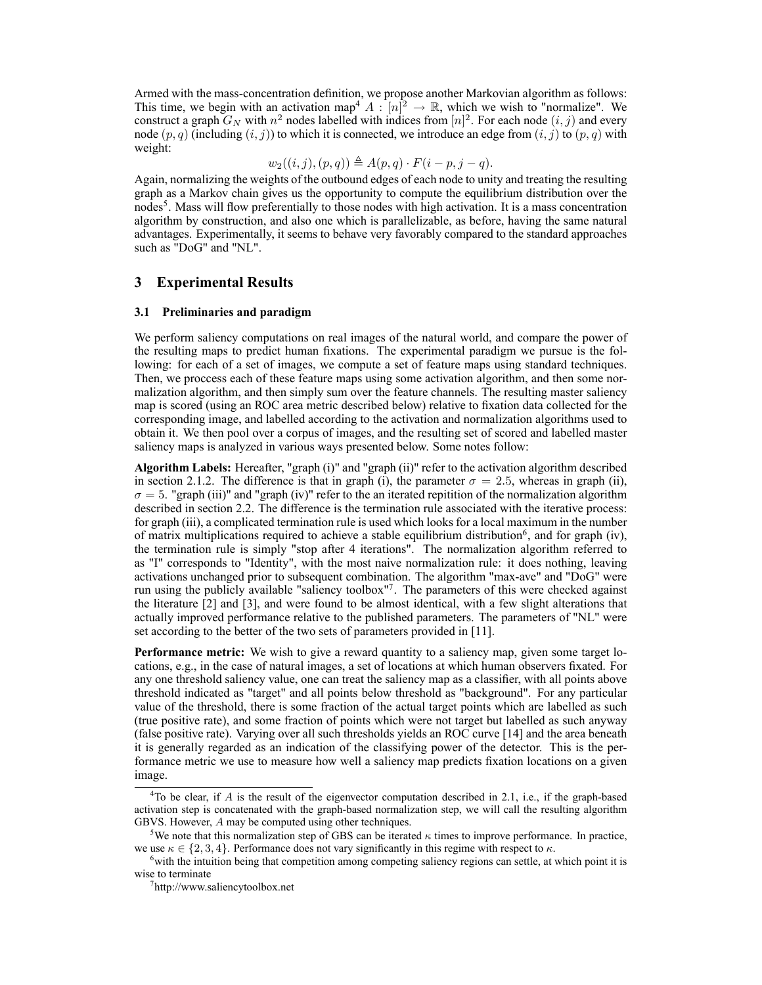Armed with the mass-concentration definition, we propose another Markovian algorithm as follows: This time, we begin with an activation map<sup>4</sup>  $A: [n]^2 \to \mathbb{R}$ , which we wish to "normalize". We construct a graph  $G_N$  with  $n^2$  nodes labelled with indices from  $[n]^2$ . For each node  $(i, j)$  and every node  $(p, q)$  (including  $(i, j)$ ) to which it is connected, we introduce an edge from  $(i, j)$  to  $(p, q)$  with weight:

$$
w_2((i,j),(p,q)) \triangleq A(p,q) \cdot F(i-p,j-q).
$$

Again, normalizing the weights of the outbound edges of each node to unity and treating the resulting graph as a Markov chain gives us the opportunity to compute the equilibrium distribution over the nodes<sup>5</sup>. Mass will flow preferentially to those nodes with high activation. It is a mass concentration algorithm by construction, and also one which is parallelizable, as before, having the same natural advantages. Experimentally, it seems to behave very favorably compared to the standard approaches such as "DoG" and "NL".

### 3 Experimental Results

#### 3.1 Preliminaries and paradigm

We perform saliency computations on real images of the natural world, and compare the power of the resulting maps to predict human fixations. The experimental paradigm we pursue is the following: for each of a set of images, we compute a set of feature maps using standard techniques. Then, we proccess each of these feature maps using some activation algorithm, and then some normalization algorithm, and then simply sum over the feature channels. The resulting master saliency map is scored (using an ROC area metric described below) relative to fixation data collected for the corresponding image, and labelled according to the activation and normalization algorithms used to obtain it. We then pool over a corpus of images, and the resulting set of scored and labelled master saliency maps is analyzed in various ways presented below. Some notes follow:

Algorithm Labels: Hereafter, "graph (i)" and "graph (ii)" refer to the activation algorithm described in section 2.1.2. The difference is that in graph (i), the parameter  $\sigma = 2.5$ , whereas in graph (ii),  $\sigma = 5$ . "graph (iii)" and "graph (iv)" refer to the an iterated repitition of the normalization algorithm described in section 2.2. The difference is the termination rule associated with the iterative process: for graph (iii), a complicated termination rule is used which looks for a local maximum in the number of matrix multiplications required to achieve a stable equilibrium distribution<sup>6</sup>, and for graph (iv), the termination rule is simply "stop after 4 iterations". The normalization algorithm referred to as "I" corresponds to "Identity", with the most naive normalization rule: it does nothing, leaving activations unchanged prior to subsequent combination. The algorithm "max-ave" and "DoG" were run using the publicly available "saliency toolbox"<sup>7</sup>. The parameters of this were checked against the literature [2] and [3], and were found to be almost identical, with a few slight alterations that actually improved performance relative to the published parameters. The parameters of "NL" were set according to the better of the two sets of parameters provided in [11].

Performance metric: We wish to give a reward quantity to a saliency map, given some target locations, e.g., in the case of natural images, a set of locations at which human observers fixated. For any one threshold saliency value, one can treat the saliency map as a classifier, with all points above threshold indicated as "target" and all points below threshold as "background". For any particular value of the threshold, there is some fraction of the actual target points which are labelled as such (true positive rate), and some fraction of points which were not target but labelled as such anyway (false positive rate). Varying over all such thresholds yields an ROC curve [14] and the area beneath it is generally regarded as an indication of the classifying power of the detector. This is the performance metric we use to measure how well a saliency map predicts fixation locations on a given image.

<sup>&</sup>lt;sup>4</sup>To be clear, if A is the result of the eigenvector computation described in 2.1, i.e., if the graph-based activation step is concatenated with the graph-based normalization step, we will call the resulting algorithm GBVS. However, A may be computed using other techniques.

<sup>&</sup>lt;sup>5</sup>We note that this normalization step of GBS can be iterated  $\kappa$  times to improve performance. In practice, we use  $\kappa \in \{2, 3, 4\}$ . Performance does not vary significantly in this regime with respect to  $\kappa$ .

 $6$  with the intuition being that competition among competing saliency regions can settle, at which point it is wise to terminate

<sup>7</sup> http://www.saliencytoolbox.net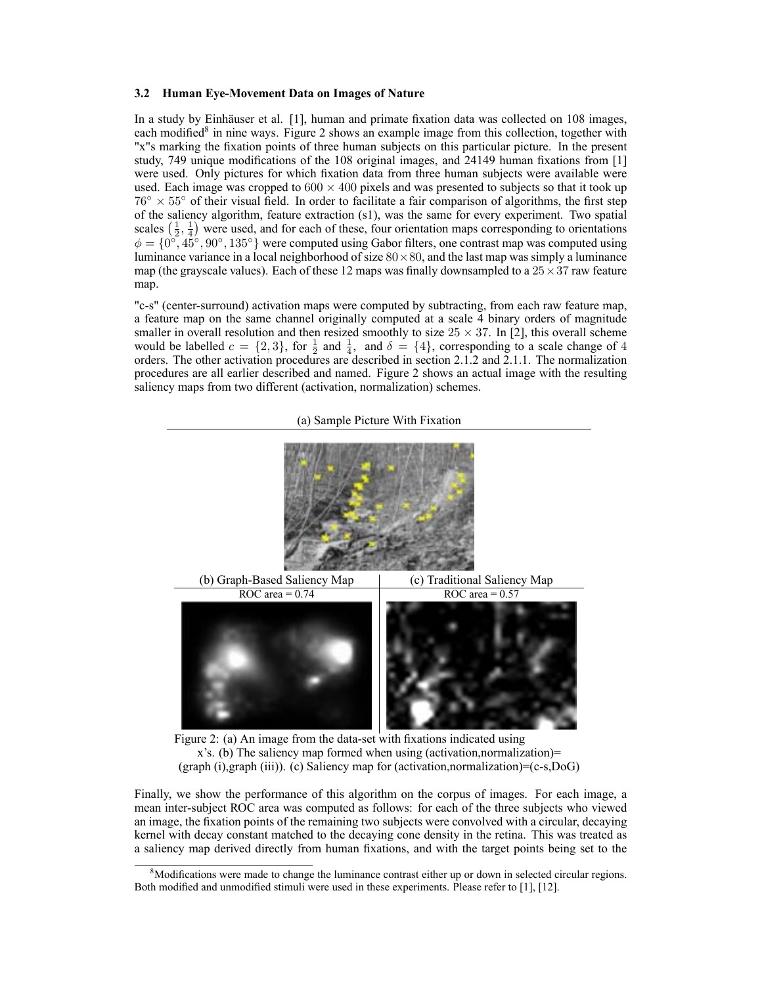#### 3.2 Human Eye-Movement Data on Images of Nature

In a study by Einhäuser et al. [1], human and primate fixation data was collected on 108 images, each modified<sup>8</sup> in nine ways. Figure 2 shows an example image from this collection, together with "x"s marking the fixation points of three human subjects on this particular picture. In the present study, 749 unique modifications of the 108 original images, and 24149 human fixations from [1] were used. Only pictures for which fixation data from three human subjects were available were used. Each image was cropped to  $600 \times 400$  pixels and was presented to subjects so that it took up  $76^\circ \times 55^\circ$  of their visual field. In order to facilitate a fair comparison of algorithms, the first step of the saliency algorithm, feature extraction (s1), was the same for every experiment. Two spatial scales  $(\frac{1}{2}, \frac{1}{4})$  were used, and for each of these, four orientation maps corresponding to orientations  $\phi = \{0^\circ, 45^\circ, 90^\circ, 135^\circ\}$  were computed using Gabor filters, one contrast map was computed using luminance variance in a local neighborhood of size  $80 \times 80$ , and the last map was simply a luminance map (the grayscale values). Each of these 12 maps was finally downsampled to a  $25 \times 37$  raw feature map.

"c-s" (center-surround) activation maps were computed by subtracting, from each raw feature map, a feature map on the same channel originally computed at a scale 4 binary orders of magnitude smaller in overall resolution and then resized smoothly to size  $25 \times 37$ . In [2], this overall scheme would be labelled  $c = \{2, 3\}$ , for  $\frac{1}{2}$  and  $\frac{1}{4}$ , and  $\delta = \{4\}$ , corresponding to a scale change of 4 orders. The other activation procedures are described in section 2.1.2 and 2.1.1. The normalization procedures are all earlier described and named. Figure 2 shows an actual image with the resulting saliency maps from two different (activation, normalization) schemes.



(a) Sample Picture With Fixation

Figure 2: (a) An image from the data-set with fixations indicated using x's. (b) The saliency map formed when using (activation,normalization)= (graph (i),graph (iii)). (c) Saliency map for (activation,normalization)=(c-s,DoG)

Finally, we show the performance of this algorithm on the corpus of images. For each image, a mean inter-subject ROC area was computed as follows: for each of the three subjects who viewed an image, the fixation points of the remaining two subjects were convolved with a circular, decaying kernel with decay constant matched to the decaying cone density in the retina. This was treated as a saliency map derived directly from human fixations, and with the target points being set to the

<sup>&</sup>lt;sup>8</sup>Modifications were made to change the luminance contrast either up or down in selected circular regions. Both modified and unmodified stimuli were used in these experiments. Please refer to [1], [12].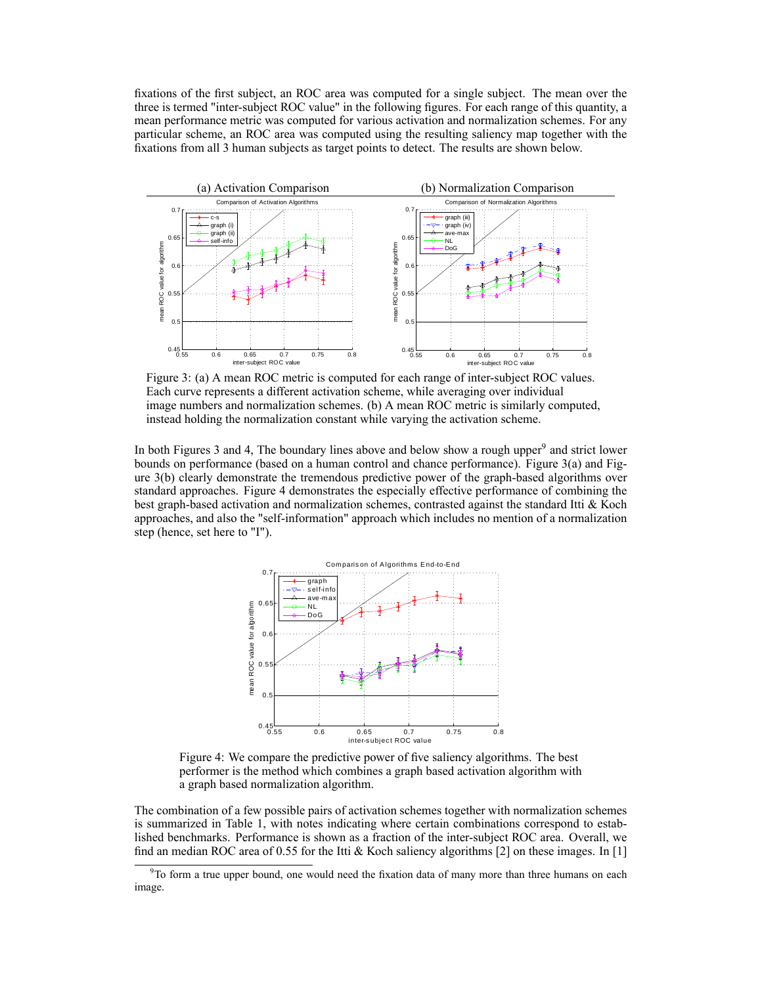fixations of the first subject, an ROC area was computed for a single subject. The mean over the three is termed "inter-subject ROC value" in the following figures. For each range of this quantity, a mean performance metric was computed for various activation and normalization schemes. For any particular scheme, an ROC area was computed using the resulting saliency map together with the fixations from all 3 human subjects as target points to detect. The results are shown below.



Figure 3: (a) A mean ROC metric is computed for each range of inter-subject ROC values. Each curve represents a different activation scheme, while averaging over individual image numbers and normalization schemes. (b) A mean ROC metric is similarly computed, instead holding the normalization constant while varying the activation scheme.

In both Figures 3 and 4, The boundary lines above and below show a rough upper<sup>9</sup> and strict lower bounds on performance (based on a human control and chance performance). Figure 3(a) and Figure 3(b) clearly demonstrate the tremendous predictive power of the graph-based algorithms over standard approaches. Figure 4 demonstrates the especially effective performance of combining the best graph-based activation and normalization schemes, contrasted against the standard Itti & Koch approaches, and also the "self-information" approach which includes no mention of a normalization step (hence, set here to "I").



Figure 4: We compare the predictive power of five saliency algorithms. The best performer is the method which combines a graph based activation algorithm with a graph based normalization algorithm.

The combination of a few possible pairs of activation schemes together with normalization schemes is summarized in Table 1, with notes indicating where certain combinations correspond to established benchmarks. Performance is shown as a fraction of the inter-subject ROC area. Overall, we find an median ROC area of 0.55 for the Itti & Koch saliency algorithms [2] on these images. In [1]

 $9^9$ To form a true upper bound, one would need the fixation data of many more than three humans on each image.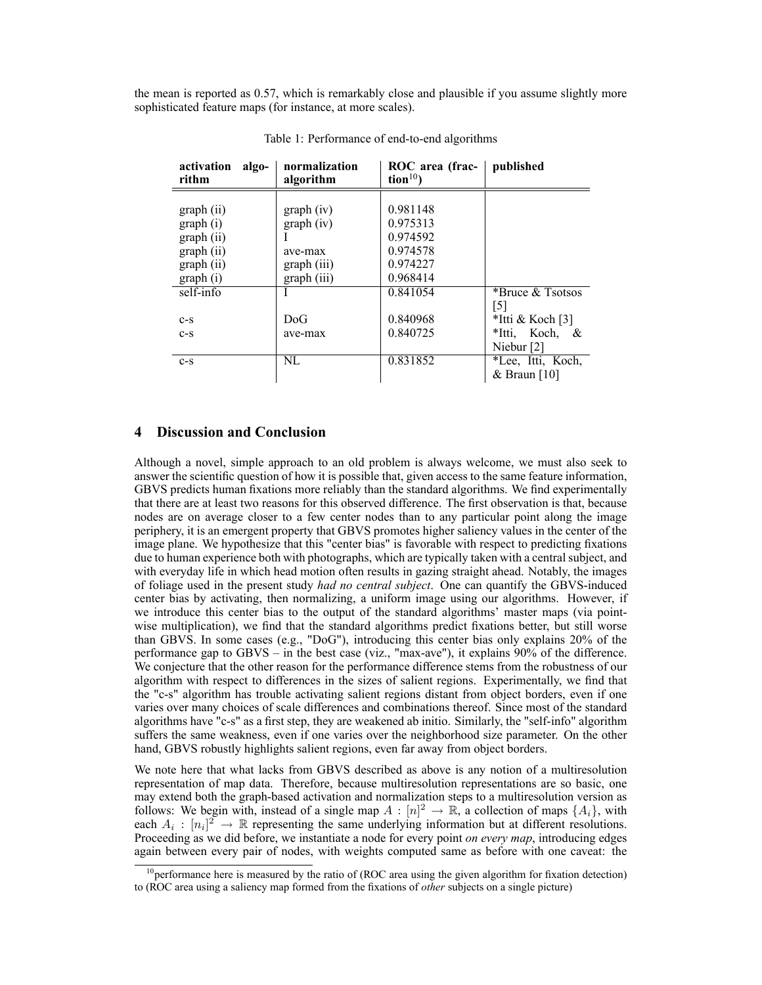the mean is reported as 0.57, which is remarkably close and plausible if you assume slightly more sophisticated feature maps (for instance, at more scales).

| algo-<br>activation<br>rithm | normalization<br>algorithm | ROC area (frac-<br>$\text{tion}^{10}$ | published           |
|------------------------------|----------------------------|---------------------------------------|---------------------|
|                              |                            |                                       |                     |
| graph(i)                     | graph (iv)                 | 0.981148                              |                     |
| graph (i)                    | graph (iv)                 | 0.975313                              |                     |
| graph(i)                     |                            | 0.974592                              |                     |
| graph (ii)                   | ave-max                    | 0.974578                              |                     |
| graph (ii)                   | graph (iii)                | 0.974227                              |                     |
| graph (i)                    | graph (iii)                | 0.968414                              |                     |
| self-info                    |                            | 0.841054                              | *Bruce & Tsotsos    |
|                              |                            |                                       | [5]                 |
| $c-s$                        | DoG                        | 0.840968                              | *Itti & Koch [3]    |
| $c-s$                        | ave-max                    | 0.840725                              | *Itti, Koch,<br>- & |
|                              |                            |                                       | Niebur [2]          |
| $c-s$                        | NL                         | 0.831852                              | *Lee, Itti, Koch,   |
|                              |                            |                                       | & Braun [10]        |

Table 1: Performance of end-to-end algorithms

# 4 Discussion and Conclusion

Although a novel, simple approach to an old problem is always welcome, we must also seek to answer the scientific question of how it is possible that, given access to the same feature information, GBVS predicts human fixations more reliably than the standard algorithms. We find experimentally that there are at least two reasons for this observed difference. The first observation is that, because nodes are on average closer to a few center nodes than to any particular point along the image periphery, it is an emergent property that GBVS promotes higher saliency values in the center of the image plane. We hypothesize that this "center bias" is favorable with respect to predicting fixations due to human experience both with photographs, which are typically taken with a central subject, and with everyday life in which head motion often results in gazing straight ahead. Notably, the images of foliage used in the present study had no central subject. One can quantify the GBVS-induced center bias by activating, then normalizing, a uniform image using our algorithms. However, if we introduce this center bias to the output of the standard algorithms' master maps (via pointwise multiplication), we find that the standard algorithms predict fixations better, but still worse than GBVS. In some cases (e.g., "DoG"), introducing this center bias only explains 20% of the performance gap to  $GBVS -$  in the best case (viz., "max-ave"), it explains 90% of the difference. We conjecture that the other reason for the performance difference stems from the robustness of our algorithm with respect to differences in the sizes of salient regions. Experimentally, we find that the "c-s" algorithm has trouble activating salient regions distant from object borders, even if one varies over many choices of scale differences and combinations thereof. Since most of the standard algorithms have "c-s" as a first step, they are weakened ab initio. Similarly, the "self-info" algorithm suffers the same weakness, even if one varies over the neighborhood size parameter. On the other hand, GBVS robustly highlights salient regions, even far away from object borders.

We note here that what lacks from GBVS described as above is any notion of a multiresolution representation of map data. Therefore, because multiresolution representations are so basic, one may extend both the graph-based activation and normalization steps to a multiresolution version as follows: We begin with, instead of a single map  $A : [n]^2 \to \mathbb{R}$ , a collection of maps  $\{A_i\}$ , with each  $A_i : [n_i]^2 \to \mathbb{R}$  representing the same underlying information but at different resolutions. Proceeding as we did before, we instantiate a node for every point on every map, introducing edges again between every pair of nodes, with weights computed same as before with one caveat: the

 $10$  performance here is measured by the ratio of (ROC area using the given algorithm for fixation detection) to (ROC area using a saliency map formed from the fixations of *other* subjects on a single picture)